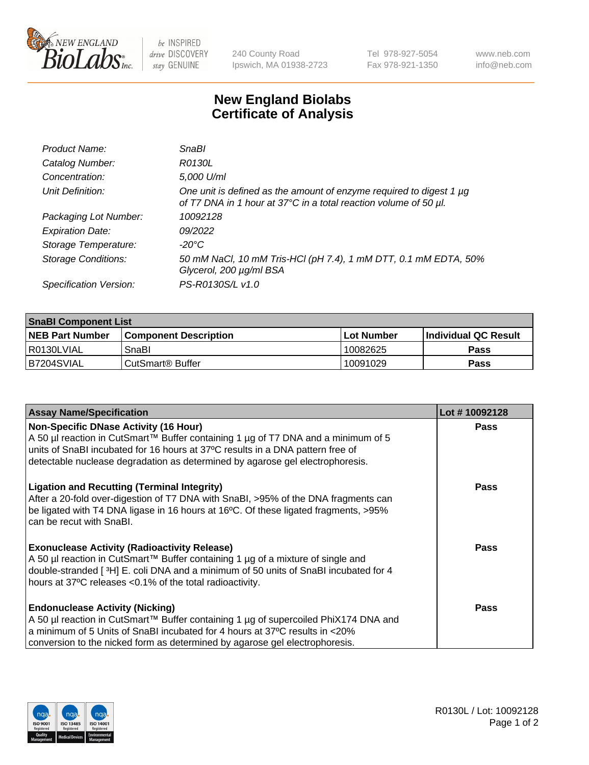

 $be$  INSPIRED drive DISCOVERY stay GENUINE

240 County Road Ipswich, MA 01938-2723 Tel 978-927-5054 Fax 978-921-1350 www.neb.com info@neb.com

## **New England Biolabs Certificate of Analysis**

| Product Name:              | <b>SnaBl</b>                                                                                                                            |
|----------------------------|-----------------------------------------------------------------------------------------------------------------------------------------|
| Catalog Number:            | R0130L                                                                                                                                  |
| Concentration:             | 5,000 U/ml                                                                                                                              |
| Unit Definition:           | One unit is defined as the amount of enzyme required to digest 1 µg<br>of T7 DNA in 1 hour at 37°C in a total reaction volume of 50 µl. |
| Packaging Lot Number:      | 10092128                                                                                                                                |
| <b>Expiration Date:</b>    | 09/2022                                                                                                                                 |
| Storage Temperature:       | -20°C                                                                                                                                   |
| <b>Storage Conditions:</b> | 50 mM NaCl, 10 mM Tris-HCl (pH 7.4), 1 mM DTT, 0.1 mM EDTA, 50%<br>Glycerol, 200 µg/ml BSA                                              |
| Specification Version:     | PS-R0130S/L v1.0                                                                                                                        |

| <b>SnaBI Component List</b> |                         |              |                             |  |
|-----------------------------|-------------------------|--------------|-----------------------------|--|
| <b>NEB Part Number</b>      | l Component Description | l Lot Number | <b>Individual QC Result</b> |  |
| I R0130LVIAL                | SnaBl                   | 10082625     | Pass                        |  |
| B7204SVIAL                  | l CutSmart® Buffer_     | 10091029     | Pass                        |  |

| <b>Assay Name/Specification</b>                                                                                                                                                                                                                                                                      | Lot #10092128 |
|------------------------------------------------------------------------------------------------------------------------------------------------------------------------------------------------------------------------------------------------------------------------------------------------------|---------------|
| <b>Non-Specific DNase Activity (16 Hour)</b><br>A 50 µl reaction in CutSmart™ Buffer containing 1 µg of T7 DNA and a minimum of 5<br>units of SnaBI incubated for 16 hours at 37°C results in a DNA pattern free of<br>detectable nuclease degradation as determined by agarose gel electrophoresis. | <b>Pass</b>   |
| <b>Ligation and Recutting (Terminal Integrity)</b><br>After a 20-fold over-digestion of T7 DNA with SnaBI, >95% of the DNA fragments can<br>be ligated with T4 DNA ligase in 16 hours at 16°C. Of these ligated fragments, >95%<br>can be recut with SnaBI.                                          | Pass          |
| <b>Exonuclease Activity (Radioactivity Release)</b><br>A 50 µl reaction in CutSmart™ Buffer containing 1 µg of a mixture of single and<br>double-stranded [3H] E. coli DNA and a minimum of 50 units of SnaBI incubated for 4<br>hours at 37°C releases <0.1% of the total radioactivity.            | Pass          |
| <b>Endonuclease Activity (Nicking)</b><br>A 50 µl reaction in CutSmart™ Buffer containing 1 µg of supercoiled PhiX174 DNA and<br>a minimum of 5 Units of SnaBI incubated for 4 hours at 37°C results in <20%<br>conversion to the nicked form as determined by agarose gel electrophoresis.          | Pass          |